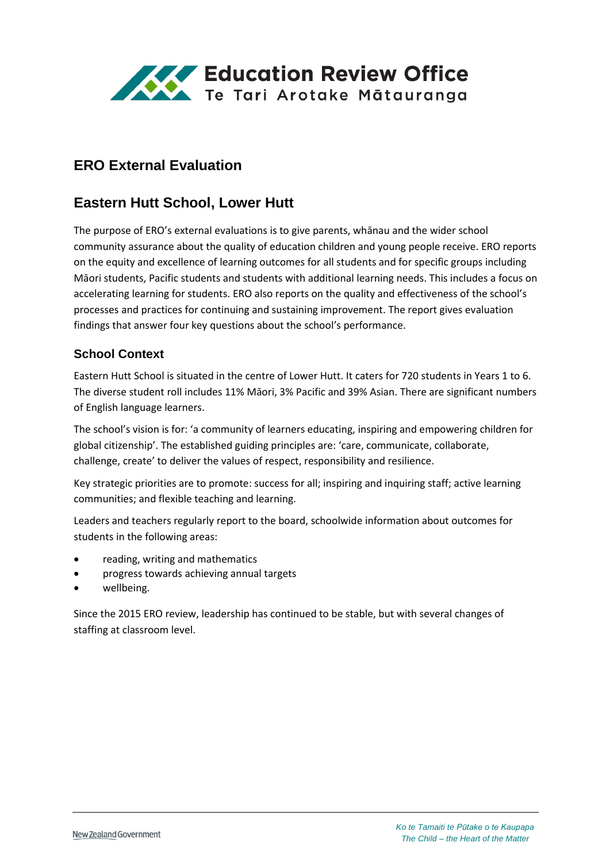

# **ERO External Evaluation**

# **Eastern Hutt School, Lower Hutt**

The purpose of ERO's external evaluations is to give parents, whānau and the wider school community assurance about the quality of education children and young people receive. ERO reports on the equity and excellence of learning outcomes for all students and for specific groups including Māori students, Pacific students and students with additional learning needs. This includes a focus on accelerating learning for students. ERO also reports on the quality and effectiveness of the school's processes and practices for continuing and sustaining improvement. The report gives evaluation findings that answer four key questions about the school's performance.

#### **School Context**

Eastern Hutt School is situated in the centre of Lower Hutt. It caters for 720 students in Years 1 to 6. The diverse student roll includes 11% Māori, 3% Pacific and 39% Asian. There are significant numbers of English language learners.

The school's vision is for: 'a community of learners educating, inspiring and empowering children for global citizenship'. The established guiding principles are: 'care, communicate, collaborate, challenge, create' to deliver the values of respect, responsibility and resilience.

Key strategic priorities are to promote: success for all; inspiring and inquiring staff; active learning communities; and flexible teaching and learning.

Leaders and teachers regularly report to the board, schoolwide information about outcomes for students in the following areas:

- reading, writing and mathematics
- progress towards achieving annual targets
- wellbeing.

Since the 2015 ERO review, leadership has continued to be stable, but with several changes of staffing at classroom level.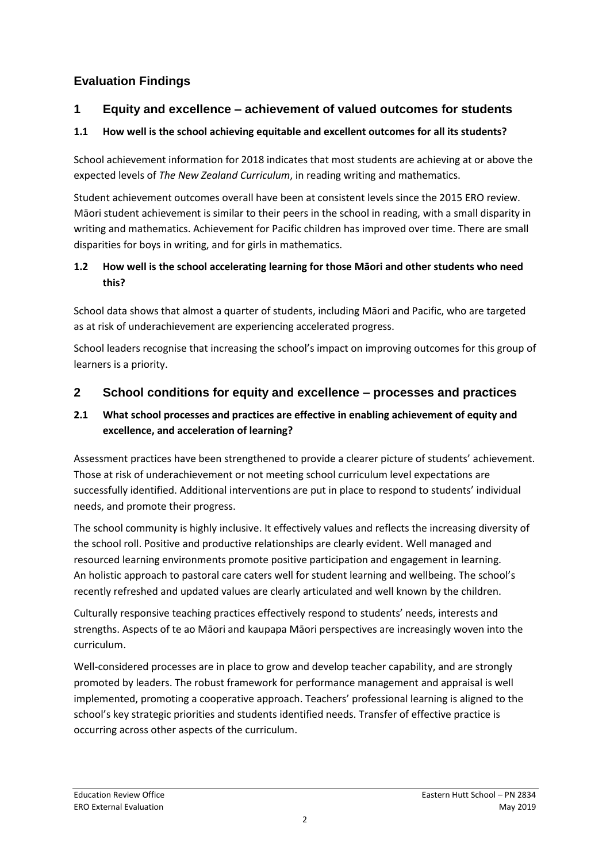# **Evaluation Findings**

### **1 Equity and excellence – achievement of valued outcomes for students**

#### **1.1 How well is the school achieving equitable and excellent outcomes for all its students?**

School achievement information for 2018 indicates that most students are achieving at or above the expected levels of *The New Zealand Curriculum*, in reading writing and mathematics.

Student achievement outcomes overall have been at consistent levels since the 2015 ERO review. Māori student achievement is similar to their peers in the school in reading, with a small disparity in writing and mathematics. Achievement for Pacific children has improved over time. There are small disparities for boys in writing, and for girls in mathematics.

#### **1.2 How well is the school accelerating learning for those Māori and other students who need this?**

School data shows that almost a quarter of students, including Māori and Pacific, who are targeted as at risk of underachievement are experiencing accelerated progress.

School leaders recognise that increasing the school's impact on improving outcomes for this group of learners is a priority.

## **2 School conditions for equity and excellence – processes and practices**

#### **2.1 What school processes and practices are effective in enabling achievement of equity and excellence, and acceleration of learning?**

Assessment practices have been strengthened to provide a clearer picture of students' achievement. Those at risk of underachievement or not meeting school curriculum level expectations are successfully identified. Additional interventions are put in place to respond to students' individual needs, and promote their progress.

The school community is highly inclusive. It effectively values and reflects the increasing diversity of the school roll. Positive and productive relationships are clearly evident. Well managed and resourced learning environments promote positive participation and engagement in learning. An holistic approach to pastoral care caters well for student learning and wellbeing. The school's recently refreshed and updated values are clearly articulated and well known by the children.

Culturally responsive teaching practices effectively respond to students' needs, interests and strengths. Aspects of te ao Māori and kaupapa Māori perspectives are increasingly woven into the curriculum.

Well-considered processes are in place to grow and develop teacher capability, and are strongly promoted by leaders. The robust framework for performance management and appraisal is well implemented, promoting a cooperative approach. Teachers' professional learning is aligned to the school's key strategic priorities and students identified needs. Transfer of effective practice is occurring across other aspects of the curriculum.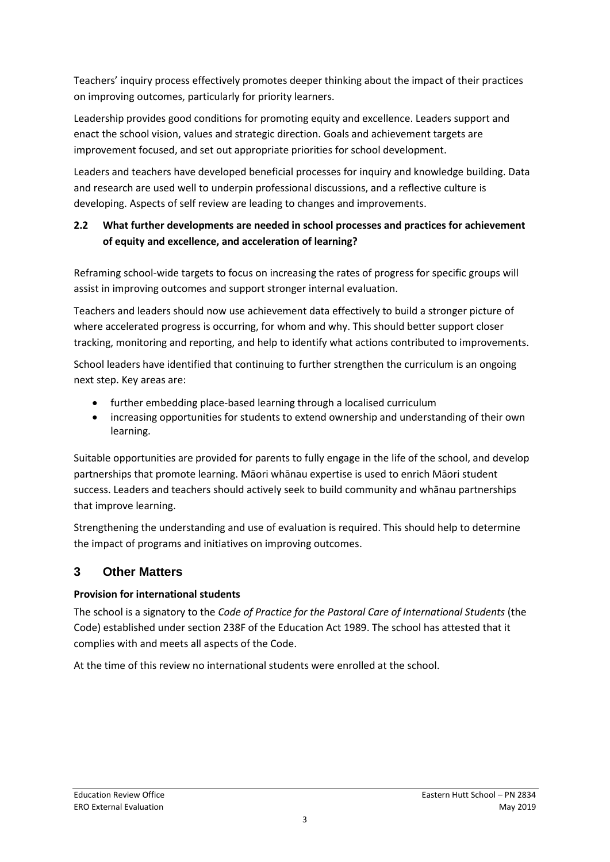Teachers' inquiry process effectively promotes deeper thinking about the impact of their practices on improving outcomes, particularly for priority learners.

Leadership provides good conditions for promoting equity and excellence. Leaders support and enact the school vision, values and strategic direction. Goals and achievement targets are improvement focused, and set out appropriate priorities for school development.

Leaders and teachers have developed beneficial processes for inquiry and knowledge building. Data and research are used well to underpin professional discussions, and a reflective culture is developing. Aspects of self review are leading to changes and improvements.

### **2.2 What further developments are needed in school processes and practices for achievement of equity and excellence, and acceleration of learning?**

Reframing school-wide targets to focus on increasing the rates of progress for specific groups will assist in improving outcomes and support stronger internal evaluation.

Teachers and leaders should now use achievement data effectively to build a stronger picture of where accelerated progress is occurring, for whom and why. This should better support closer tracking, monitoring and reporting, and help to identify what actions contributed to improvements.

School leaders have identified that continuing to further strengthen the curriculum is an ongoing next step. Key areas are:

- further embedding place-based learning through a localised curriculum
- increasing opportunities for students to extend ownership and understanding of their own learning.

Suitable opportunities are provided for parents to fully engage in the life of the school, and develop partnerships that promote learning. Māori whānau expertise is used to enrich Māori student success. Leaders and teachers should actively seek to build community and whānau partnerships that improve learning.

Strengthening the understanding and use of evaluation is required. This should help to determine the impact of programs and initiatives on improving outcomes.

# **3 Other Matters**

#### **Provision for international students**

The school is a signatory to the *Code of Practice for the Pastoral Care of International Students* (the Code) established under section 238F of the Education Act 1989. The school has attested that it complies with and meets all aspects of the Code.

At the time of this review no international students were enrolled at the school.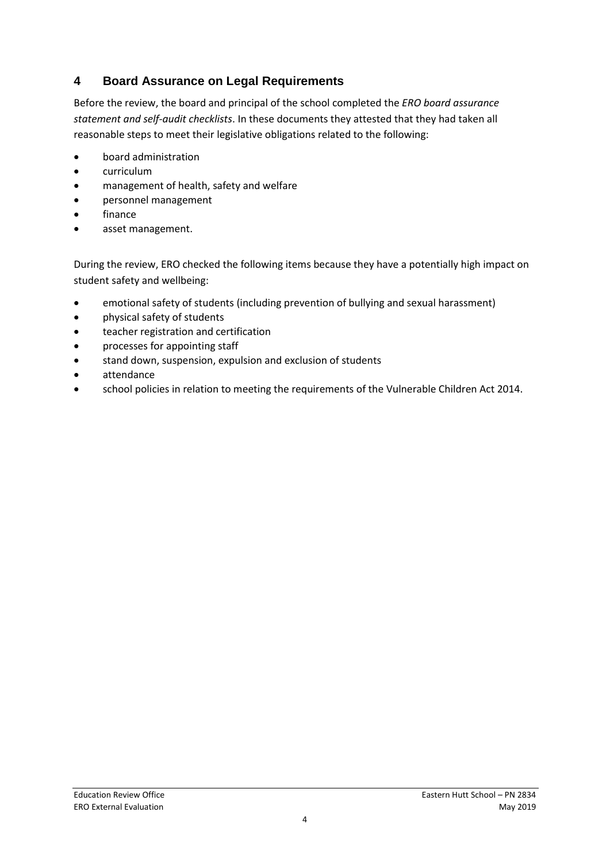## **4 Board Assurance on Legal Requirements**

Before the review, the board and principal of the school completed the *ERO board assurance statement and self-audit checklists*. In these documents they attested that they had taken all reasonable steps to meet their legislative obligations related to the following:

- board administration
- curriculum
- management of health, safety and welfare
- personnel management
- finance
- asset management.

During the review, ERO checked the following items because they have a potentially high impact on student safety and wellbeing:

- emotional safety of students (including prevention of bullying and sexual harassment)
- physical safety of students
- teacher registration and certification
- processes for appointing staff
- stand down, suspension, expulsion and exclusion of students
- attendance
- school policies in relation to meeting the requirements of the Vulnerable Children Act 2014.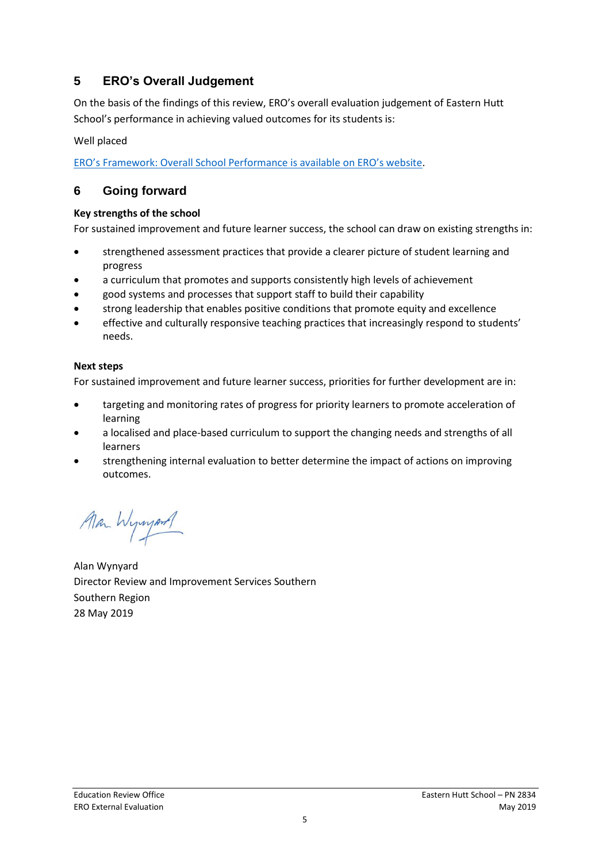## **5 ERO's Overall Judgement**

On the basis of the findings of this review, ERO's overall evaluation judgement of Eastern Hutt School's performance in achieving valued outcomes for its students is:

Well placed

[ERO's Framework: Overall School Performance is available on ERO's website](https://www.ero.govt.nz/assets/Uploads/Framework-overall-school-performance-Feb-2019.pdf).

### **6 Going forward**

#### **Key strengths of the school**

For sustained improvement and future learner success, the school can draw on existing strengths in:

- strengthened assessment practices that provide a clearer picture of student learning and progress
- a curriculum that promotes and supports consistently high levels of achievement
- good systems and processes that support staff to build their capability
- strong leadership that enables positive conditions that promote equity and excellence
- effective and culturally responsive teaching practices that increasingly respond to students' needs.

#### **Next steps**

For sustained improvement and future learner success, priorities for further development are in:

- targeting and monitoring rates of progress for priority learners to promote acceleration of learning
- a localised and place-based curriculum to support the changing needs and strengths of all learners
- strengthening internal evaluation to better determine the impact of actions on improving outcomes.

Man Wymand

Alan Wynyard Director Review and Improvement Services Southern Southern Region 28 May 2019